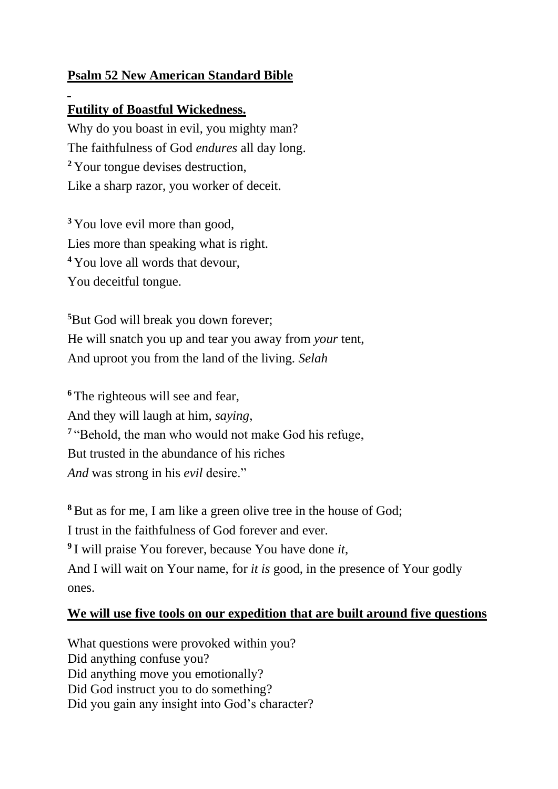## **Psalm 52 New American Standard Bible**

## **Futility of Boastful Wickedness.**

Why do you boast in evil, you mighty man? The faithfulness of God *endures* all day long. **<sup>2</sup>** Your tongue devises destruction, Like a sharp razor, you worker of deceit.

<sup>3</sup> You love evil more than good, Lies more than speaking what is right. **<sup>4</sup>** You love all words that devour, You deceitful tongue.

**<sup>5</sup>**But God will break you down forever; He will snatch you up and tear you away from *your* tent, And uproot you from the land of the living. *Selah*

<sup>6</sup> The righteous will see and fear. And they will laugh at him, *saying*, <sup>7</sup> "Behold, the man who would not make God his refuge, But trusted in the abundance of his riches *And* was strong in his *evil* desire."

**<sup>8</sup>**But as for me, I am like a green olive tree in the house of God; I trust in the faithfulness of God forever and ever. **9** I will praise You forever, because You have done *it*, And I will wait on Your name, for *it is* good, in the presence of Your godly ones.

## **We will use five tools on our expedition that are built around five questions**

What questions were provoked within you? Did anything confuse you? Did anything move you emotionally? Did God instruct you to do something? Did you gain any insight into God's character?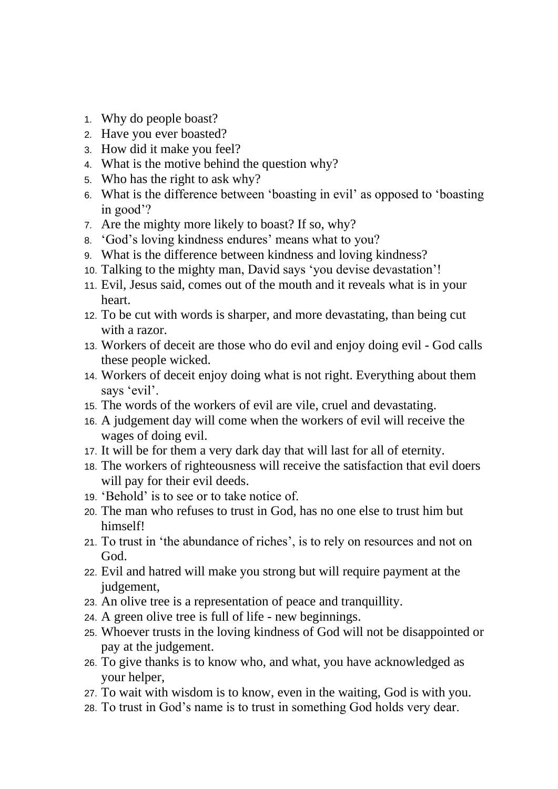- 1. Why do people boast?
- 2. Have you ever boasted?
- 3. How did it make you feel?
- 4. What is the motive behind the question why?
- 5. Who has the right to ask why?
- 6. What is the difference between 'boasting in evil' as opposed to 'boasting in good'?
- 7. Are the mighty more likely to boast? If so, why?
- 8. 'God's loving kindness endures' means what to you?
- 9. What is the difference between kindness and loving kindness?
- 10. Talking to the mighty man, David says 'you devise devastation'!
- 11. Evil, Jesus said, comes out of the mouth and it reveals what is in your heart.
- 12. To be cut with words is sharper, and more devastating, than being cut with a razor.
- 13. Workers of deceit are those who do evil and enjoy doing evil God calls these people wicked.
- 14. Workers of deceit enjoy doing what is not right. Everything about them says 'evil'.
- 15. The words of the workers of evil are vile, cruel and devastating.
- 16. A judgement day will come when the workers of evil will receive the wages of doing evil.
- 17. It will be for them a very dark day that will last for all of eternity.
- 18. The workers of righteousness will receive the satisfaction that evil doers will pay for their evil deeds.
- 19. 'Behold' is to see or to take notice of.
- 20. The man who refuses to trust in God, has no one else to trust him but himself!
- 21. To trust in 'the abundance of riches', is to rely on resources and not on God.
- 22. Evil and hatred will make you strong but will require payment at the judgement,
- 23. An olive tree is a representation of peace and tranquillity.
- 24. A green olive tree is full of life new beginnings.
- 25. Whoever trusts in the loving kindness of God will not be disappointed or pay at the judgement.
- 26. To give thanks is to know who, and what, you have acknowledged as your helper,
- 27. To wait with wisdom is to know, even in the waiting, God is with you.
- 28. To trust in God's name is to trust in something God holds very dear.